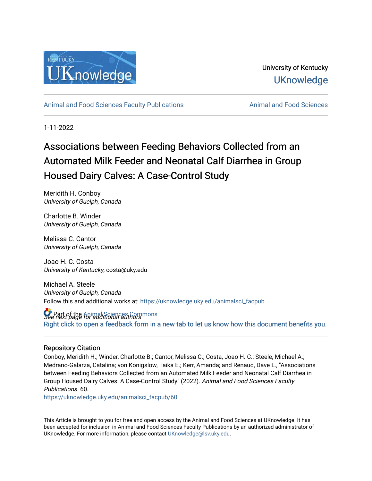

University of Kentucky **UKnowledge** 

[Animal and Food Sciences Faculty Publications](https://uknowledge.uky.edu/animalsci_facpub) **Animal and Food Sciences** Animal and Food Sciences

1-11-2022

# Associations between Feeding Behaviors Collected from an Automated Milk Feeder and Neonatal Calf Diarrhea in Group Housed Dairy Calves: A Case-Control Study

Meridith H. Conboy University of Guelph, Canada

Charlotte B. Winder University of Guelph, Canada

Melissa C. Cantor University of Guelph, Canada

Joao H. C. Costa University of Kentucky, costa@uky.edu

Michael A. Steele University of Guelph, Canada Follow this and additional works at: [https://uknowledge.uky.edu/animalsci\\_facpub](https://uknowledge.uky.edu/animalsci_facpub?utm_source=uknowledge.uky.edu%2Fanimalsci_facpub%2F60&utm_medium=PDF&utm_campaign=PDFCoverPages) 

**S** Part of the Animal Sciences Commons<br>See next page for additional authors [Right click to open a feedback form in a new tab to let us know how this document benefits you.](https://uky.az1.qualtrics.com/jfe/form/SV_9mq8fx2GnONRfz7)

# Repository Citation

Conboy, Meridith H.; Winder, Charlotte B.; Cantor, Melissa C.; Costa, Joao H. C.; Steele, Michael A.; Medrano-Galarza, Catalina; von Konigslow, Taika E.; Kerr, Amanda; and Renaud, Dave L., "Associations between Feeding Behaviors Collected from an Automated Milk Feeder and Neonatal Calf Diarrhea in Group Housed Dairy Calves: A Case-Control Study" (2022). Animal and Food Sciences Faculty Publications. 60.

[https://uknowledge.uky.edu/animalsci\\_facpub/60](https://uknowledge.uky.edu/animalsci_facpub/60?utm_source=uknowledge.uky.edu%2Fanimalsci_facpub%2F60&utm_medium=PDF&utm_campaign=PDFCoverPages)

This Article is brought to you for free and open access by the Animal and Food Sciences at UKnowledge. It has been accepted for inclusion in Animal and Food Sciences Faculty Publications by an authorized administrator of UKnowledge. For more information, please contact [UKnowledge@lsv.uky.edu](mailto:UKnowledge@lsv.uky.edu).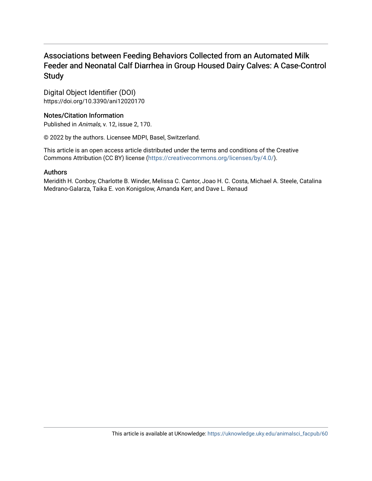# Associations between Feeding Behaviors Collected from an Automated Milk Feeder and Neonatal Calf Diarrhea in Group Housed Dairy Calves: A Case-Control Study

Digital Object Identifier (DOI) https://doi.org/10.3390/ani12020170

# Notes/Citation Information

Published in Animals, v. 12, issue 2, 170.

© 2022 by the authors. Licensee MDPI, Basel, Switzerland.

This article is an open access article distributed under the terms and conditions of the Creative Commons Attribution (CC BY) license ([https://creativecommons.org/licenses/by/4.0/\)](https://creativecommons.org/licenses/by/4.0/).

# Authors

Meridith H. Conboy, Charlotte B. Winder, Melissa C. Cantor, Joao H. C. Costa, Michael A. Steele, Catalina Medrano-Galarza, Taika E. von Konigslow, Amanda Kerr, and Dave L. Renaud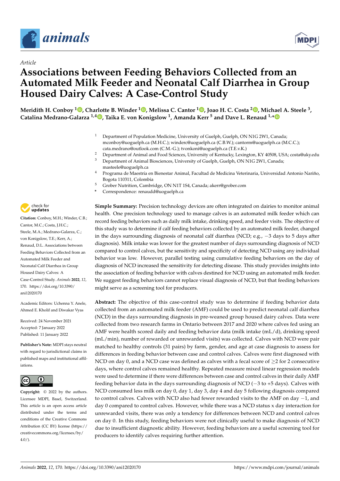

*Article*



# **Associations between Feeding Behaviors Collected from an Automated Milk Feeder and Neonatal Calf Diarrhea in Group Housed Dairy Calves: A Case-Control Study**

**Meridith H. Conboy <sup>1</sup> [,](https://orcid.org/0000-0003-4613-2503) Charlotte B. Winder <sup>1</sup> [,](https://orcid.org/0000-0002-7314-3657) Melissa C. Cantor <sup>1</sup> [,](https://orcid.org/0000-0002-4963-064X) Joao H. C. Costa <sup>2</sup> [,](https://orcid.org/0000-0001-9311-4741) Michael A. Steele <sup>3</sup> , Catalina Medrano-Galarza 1,4 [,](https://orcid.org/0000-0002-2690-189X) Taika E. von Konigslow <sup>1</sup> , Amanda Kerr <sup>5</sup> and Dave L. Renaud 1,[\\*](https://orcid.org/0000-0002-3439-3987)**

- <sup>1</sup> Department of Population Medicine, University of Guelph, Guelph, ON N1G 2W1, Canada; mconboy@uoguelph.ca (M.H.C.); winderc@uoguelph.ca (C.B.W.); cantorm@uoguelph.ca (M.C.C.); cata.medrano@outlook.com (C.M.-G.); tvonkoni@uoguelph.ca (T.E.v.K.)
- <sup>2</sup> Department of Animal and Food Sciences, University of Kentucky, Lexington, KY 40508, USA; costa@uky.edu<br><sup>3</sup> Department of Animal Biosciences University of Guelph, Guelph, ON N1C 2W1, Canada: Department of Animal Biosciences, University of Guelph, Guelph, ON N1G 2W1, Canada;
- masteele@uoguelph.ca <sup>4</sup> Programa de Maestría en Bienestar Animal, Facultad de Medicina Veterinaria, Universidad Antonio Nariño,
- Bogota 110311, Colombia
- <sup>5</sup> Grober Nutrition, Cambridge, ON N1T 1S4, Canada; akerr@grober.com
- **\*** Correspondence: renaudd@uoguelph.ca

check for **-**

**Citation:** Conboy, M.H.; Winder, C.B.; Cantor, M.C.; Costa, J.H.C.; Steele, M.A.; Medrano-Galarza, C.; von Konigslow, T.E.; Kerr, A.; Renaud, D.L. Associations between Feeding Behaviors Collected from an Automated Milk Feeder and Neonatal Calf Diarrhea in Group Housed Dairy Calves: A Case-Control Study. *Animals* **2022**, *12*, 170. [https://doi.org/10.3390/](https://doi.org/10.3390/ani12020170) [ani12020170](https://doi.org/10.3390/ani12020170)

Academic Editors: Uchenna Y. Anele, Ahmed E. Kholif and Diwakar Vyas

Received: 24 November 2021 Accepted: 7 January 2022 Published: 11 January 2022

**Publisher's Note:** MDPI stays neutral with regard to jurisdictional claims in published maps and institutional affiliations.



**Copyright:** © 2022 by the authors. Licensee MDPI, Basel, Switzerland. This article is an open access article distributed under the terms and conditions of the Creative Commons Attribution (CC BY) license [\(https://](https://creativecommons.org/licenses/by/4.0/) [creativecommons.org/licenses/by/](https://creativecommons.org/licenses/by/4.0/)  $4.0/$ ).

**Simple Summary:** Precision technology devices are often integrated on dairies to monitor animal health. One precision technology used to manage calves is an automated milk feeder which can record feeding behaviors such as daily milk intake, drinking speed, and feeder visits. The objective of this study was to determine if calf feeding behaviors collected by an automated milk feeder, changed in the days surrounding diagnosis of neonatal calf diarrhea (NCD; e.g., −3 days to 5 days after diagnosis). Milk intake was lower for the greatest number of days surrounding diagnosis of NCD compared to control calves, but the sensitivity and specificity of detecting NCD using any individual behavior was low. However, parallel testing using cumulative feeding behaviors on the day of diagnosis of NCD increased the sensitivity for detecting disease. This study provides insights into the association of feeding behavior with calves destined for NCD using an automated milk feeder. We suggest feeding behaviors cannot replace visual diagnosis of NCD, but that feeding behaviors might serve as a screening tool for producers.

**Abstract:** The objective of this case-control study was to determine if feeding behavior data collected from an automated milk feeder (AMF) could be used to predict neonatal calf diarrhea (NCD) in the days surrounding diagnosis in pre-weaned group housed dairy calves. Data were collected from two research farms in Ontario between 2017 and 2020 where calves fed using an AMF were health scored daily and feeding behavior data (milk intake (mL/d), drinking speed (mL/min), number of rewarded or unrewarded visits) was collected. Calves with NCD were pair matched to healthy controls (31 pairs) by farm, gender, and age at case diagnosis to assess for differences in feeding behavior between case and control calves. Calves were first diagnosed with NCD on day 0, and a NCD case was defined as calves with a fecal score of  $\geq$  2 for 2 consecutive days, where control calves remained healthy. Repeated measure mixed linear regression models were used to determine if there were differences between case and control calves in their daily AMF feeding behavior data in the days surrounding diagnosis of NCD (−3 to +5 days). Calves with NCD consumed less milk on day 0, day 1, day 3, day 4 and day 5 following diagnosis compared to control calves. Calves with NCD also had fewer rewarded visits to the AMF on day −1, and day 0 compared to control calves. However, while there was a NCD status x day interaction for unrewarded visits, there was only a tendency for differences between NCD and control calves on day 0. In this study, feeding behaviors were not clinically useful to make diagnosis of NCD due to insufficient diagnostic ability. However, feeding behaviors are a useful screening tool for producers to identify calves requiring further attention.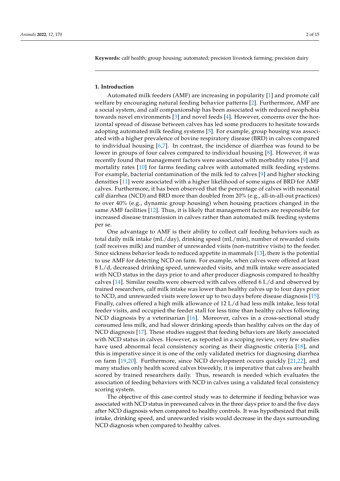**Keywords:** calf health; group housing; automated; precision livestock farming; precision dairy

# **1. Introduction**

Automated milk feeders (AMF) are increasing in popularity [\[1\]](#page-15-0) and promote calf welfare by encouraging natural feeding behavior patterns [\[2\]](#page-15-1). Furthermore, AMF are a social system, and calf companionship has been associated with reduced neophobia towards novel environments [\[3\]](#page-15-2) and novel feeds [\[4\]](#page-15-3). However, concerns over the horizontal spread of disease between calves has led some producers to hesitate towards adopting automated milk feeding systems [\[5\]](#page-15-4). For example, group housing was associated with a higher prevalence of bovine respiratory disease (BRD) in calves compared to individual housing [\[6,](#page-15-5)[7\]](#page-15-6). In contrast, the incidence of diarrhea was found to be lower in groups of four calves compared to individual housing [\[8\]](#page-15-7). However, it was recently found that management factors were associated with morbidity rates [\[9\]](#page-15-8) and mortality rates [\[10\]](#page-15-9) for farms feeding calves with automated milk feeding systems. For example, bacterial contamination of the milk fed to calves [\[9\]](#page-15-8) and higher stocking densities [\[11\]](#page-15-10) were associated with a higher likelihood of some signs of BRD for AMF calves. Furthermore, it has been observed that the percentage of calves with neonatal calf diarrhea (NCD) and BRD more than doubled from 20% (e.g., all-in-all-out practices) to over 40% (e.g., dynamic group housing) when housing practices changed in the same AMF facilities [\[12\]](#page-15-11). Thus, it is likely that management factors are responsible for increased disease transmission in calves rather than automated milk feeding systems per se.

One advantage to AMF is their ability to collect calf feeding behaviors such as total daily milk intake (mL/day), drinking speed (mL/min), number of rewarded visits (calf receives milk) and number of unrewarded visits (non-nutritive visits) to the feeder. Since sickness behavior leads to reduced appetite in mammals [\[13\]](#page-15-12), there is the potential to use AMF for detecting NCD on farm. For example, when calves were offered at least 8 L/d, decreased drinking speed, unrewarded visits, and milk intake were associated with NCD status in the days prior to and after producer diagnosis compared to healthy calves [\[14\]](#page-15-13). Similar results were observed with calves offered 6 L/d and observed by trained researchers, calf milk intake was lower than healthy calves up to four days prior to NCD, and unrewarded visits were lower up to two days before disease diagnosis [\[15\]](#page-15-14). Finally, calves offered a high milk allowance of 12 L/d had less milk intake, less total feeder visits, and occupied the feeder stall for less time than healthy calves following NCD diagnosis by a veterinarian [\[16\]](#page-15-15). Moreover, calves in a cross-sectional study consumed less milk, and had slower drinking speeds than healthy calves on the day of NCD diagnosis [\[17\]](#page-15-16). These studies suggest that feeding behaviors are likely associated with NCD status in calves. However, as reported in a scoping review, very few studies have used abnormal fecal consistency scoring as their diagnostic criteria [\[18\]](#page-15-17), and this is imperative since it is one of the only validated metrics for diagnosing diarrhea on farm [\[19](#page-15-18)[,20\]](#page-16-0). Furthermore, since NCD development occurs quickly [\[21](#page-16-1)[,22\]](#page-16-2), and many studies only health scored calves biweekly, it is imperative that calves are health scored by trained researchers daily. Thus, research is needed which evaluates the association of feeding behaviors with NCD in calves using a validated fecal consistency scoring system.

The objective of this case-control study was to determine if feeding behavior was associated with NCD status in preweaned calves in the three days prior to and the five days after NCD diagnosis when compared to healthy controls. It was hypothesized that milk intake, drinking speed, and unrewarded visits would decrease in the days surrounding NCD diagnosis when compared to healthy calves.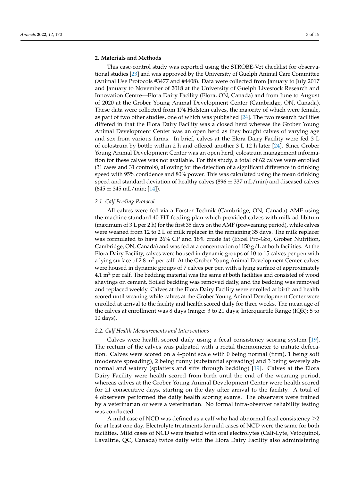# **2. Materials and Methods**

This case-control study was reported using the STROBE-Vet checklist for observational studies [\[23\]](#page-16-3) and was approved by the University of Guelph Animal Care Committee (Animal Use Protocols #3477 and #4408). Data were collected from January to July 2017 and January to November of 2018 at the University of Guelph Livestock Research and Innovation Centre—Elora Dairy Facility (Elora, ON, Canada) and from June to August of 2020 at the Grober Young Animal Development Center (Cambridge, ON, Canada). These data were collected from 174 Holstein calves, the majority of which were female, as part of two other studies, one of which was published [\[24\]](#page-16-4). The two research facilities differed in that the Elora Dairy Facility was a closed herd whereas the Grober Young Animal Development Center was an open herd as they bought calves of varying age and sex from various farms. In brief, calves at the Elora Dairy Facility were fed 3 L of colostrum by bottle within 2 h and offered another 3 L 12 h later [\[24\]](#page-16-4). Since Grober Young Animal Development Center was an open herd, colostrum management information for these calves was not available. For this study, a total of 62 calves were enrolled (31 cases and 31 controls), allowing for the detection of a significant difference in drinking speed with 95% confidence and 80% power. This was calculated using the mean drinking speed and standard deviation of healthy calves  $(896 \pm 337 \text{ mL/min})$  and diseased calves  $(645 \pm 345 \text{ mL/min}; [14])$  $(645 \pm 345 \text{ mL/min}; [14])$  $(645 \pm 345 \text{ mL/min}; [14])$ .

# *2.1. Calf Feeding Protocol*

All calves were fed via a Förster Technik (Cambridge, ON, Canada) AMF using the machine standard 40 FIT feeding plan which provided calves with milk ad libitum (maximum of 3 L per 2 h) for the first 35 days on the AMF (preweaning period), while calves were weaned from 12 to 2 L of milk replacer in the remaining 35 days. The milk replacer was formulated to have 26% CP and 18% crude fat (Excel Pro-Gro, Grober Nutrition, Cambridge, ON, Canada) and was fed at a concentration of 150  $g/L$  at both facilities. At the Elora Dairy Facility, calves were housed in dynamic groups of 10 to 15 calves per pen with a lying surface of 2.8  $m<sup>2</sup>$  per calf. At the Grober Young Animal Development Center, calves were housed in dynamic groups of 7 calves per pen with a lying surface of approximately  $4.1 \text{ m}^2$  per calf. The bedding material was the same at both facilities and consisted of wood shavings on cement. Soiled bedding was removed daily, and the bedding was removed and replaced weekly. Calves at the Elora Dairy Facility were enrolled at birth and health scored until weaning while calves at the Grober Young Animal Development Center were enrolled at arrival to the facility and health scored daily for three weeks. The mean age of the calves at enrollment was 8 days (range: 3 to 21 days; Interquartile Range (IQR): 5 to 10 days).

### *2.2. Calf Health Measurements and Interventions*

Calves were health scored daily using a fecal consistency scoring system [\[19\]](#page-15-18). The rectum of the calves was palpated with a rectal thermometer to initiate defecation. Calves were scored on a 4-point scale with 0 being normal (firm), 1 being soft (moderate spreading), 2 being runny (substantial spreading) and 3 being severely abnormal and watery (splatters and sifts through bedding) [\[19\]](#page-15-18). Calves at the Elora Dairy Facility were health scored from birth until the end of the weaning period, whereas calves at the Grober Young Animal Development Center were health scored for 21 consecutive days, starting on the day after arrival to the facility. A total of 4 observers performed the daily health scoring exams. The observers were trained by a veterinarian or were a veterinarian. No formal intra-observer reliability testing was conducted.

A mild case of NCD was defined as a calf who had abnormal fecal consistency  $\geq$ 2 for at least one day. Electrolyte treatments for mild cases of NCD were the same for both facilities. Mild cases of NCD were treated with oral electrolytes (Calf-Lyte, Vetoquinol, Lavaltrie, QC, Canada) twice daily with the Elora Dairy Facility also administering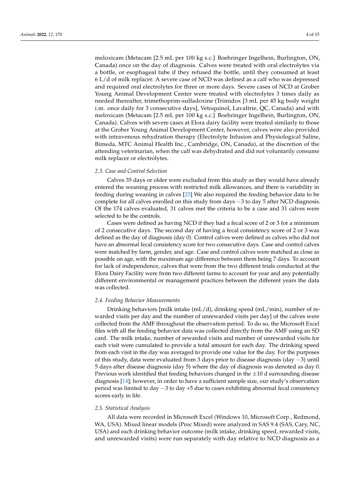meloxicam (Metacam [2.5 mL per 100 kg s.c.] Boehringer Ingelhein, Burlington, ON, Canada) once on the day of diagnosis. Calves were treated with oral electrolytes via a bottle, or esophageal tube if they refused the bottle, until they consumed at least 6 L/d of milk replacer. A severe case of NCD was defined as a calf who was depressed and required oral electrolytes for three or more days. Severe cases of NCD at Grober Young Animal Development Center were treated with electrolytes 3 times daily as needed thereafter, trimethoprim-sulfadoxine (Trimidox [3 mL per 45 kg body weight i.m. once daily for 3 consecutive days], Vetoquinol, Lavaltrie, QC, Canada) and with meloxicam (Metacam [2.5 mL per 100 kg s.c.] Boehringer Ingelhein, Burlington, ON, Canada). Calves with severe cases at Elora dairy facility were treated similarly to those at the Grober Young Animal Development Center, however, calves were also provided with intravenous rehydration therapy (Electrolyte Infusion and Physiological Saline, Bimeda, MTC Animal Health Inc., Cambridge, ON, Canada), at the discretion of the attending veterinarian, when the calf was dehydrated and did not voluntarily consume milk replacer or electrolytes.

# *2.3. Case and Control Selection*

Calves 35 days or older were excluded from this study as they would have already entered the weaning process with restricted milk allowances, and there is variability in feeding during weaning in calves [\[25\]](#page-16-5) We also required the feeding behavior data to be complete for all calves enrolled on this study from days −3 to day 5 after NCD diagnosis. Of the 174 calves evaluated, 31 calves met the criteria to be a case and 31 calves were selected to be the controls.

Cases were defined as having NCD if they had a fecal score of 2 or 3 for a minimum of 2 consecutive days. The second day of having a fecal consistency score of 2 or 3 was defined as the day of diagnosis (day 0). Control calves were defined as calves who did not have an abnormal fecal consistency score for two consecutive days. Case and control calves were matched by farm, gender, and age. Case and control calves were matched as close as possible on age, with the maximum age difference between them being 7 days. To account for lack of independence, calves that were from the two different trials conducted at the Elora Dairy Facility were from two different farms to account for year and any potentially different environmental or management practices between the different years the data was collected.

### *2.4. Feeding Behavior Measurements*

Drinking behaviors [milk intake (mL/d), drinking speed (mL/min), number of rewarded visits per day and the number of unrewarded visits per day] of the calves were collected from the AMF throughout the observation period. To do so, the Microsoft Excel files with all the feeding behavior data was collected directly from the AMF using an SD card. The milk intake, number of rewarded visits and number of unrewarded visits for each visit were cumulated to provide a total amount for each day. The drinking speed from each visit in the day was averaged to provide one value for the day. For the purposes of this study, data were evaluated from 3 days prior to disease diagnosis (day −3) until 5 days after disease diagnosis (day 5) where the day of diagnosis was denoted as day 0. Previous work identified that feeding behaviors changed in the  $\pm 10$  d surrounding disease diagnosis [\[14\]](#page-15-13); however, in order to have a sufficient sample size, our study's observation period was limited to day −3 to day +5 due to cases exhibiting abnormal fecal consistency scores early in life.

### *2.5. Statistical Analysis*

All data were recorded in Microsoft Excel (Windows 10, Microsoft Corp., Redmond, WA, USA). Mixed linear models (Proc Mixed) were analyzed in SAS 9.4 (SAS, Cary, NC, USA) and each drinking behavior outcome (milk intake, drinking speed, rewarded visits, and unrewarded visits) were run separately with day relative to NCD diagnosis as a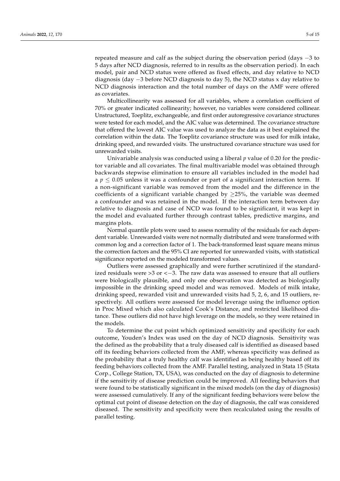repeated measure and calf as the subject during the observation period (days −3 to 5 days after NCD diagnosis, referred to in results as the observation period). In each model, pair and NCD status were offered as fixed effects, and day relative to NCD diagnosis (day  $-3$  before NCD diagnosis to day 5), the NCD status x day relative to NCD diagnosis interaction and the total number of days on the AMF were offered as covariates.

Multicollinearity was assessed for all variables, where a correlation coefficient of 70% or greater indicated collinearity; however, no variables were considered collinear. Unstructured, Toeplitz, exchangeable, and first order autoregressive covariance structures were tested for each model, and the AIC value was determined. The covariance structure that offered the lowest AIC value was used to analyze the data as it best explained the correlation within the data. The Toeplitz covariance structure was used for milk intake, drinking speed, and rewarded visits. The unstructured covariance structure was used for unrewarded visits.

Univariable analysis was conducted using a liberal *p* value of 0.20 for the predictor variable and all covariates. The final multivariable model was obtained through backwards stepwise elimination to ensure all variables included in the model had a  $p \leq 0.05$  unless it was a confounder or part of a significant interaction term. If a non-significant variable was removed from the model and the difference in the coefficients of a significant variable changed by  $\geq$ 25%, the variable was deemed a confounder and was retained in the model. If the interaction term between day relative to diagnosis and case of NCD was found to be significant, it was kept in the model and evaluated further through contrast tables, predictive margins, and margins plots.

Normal quantile plots were used to assess normality of the residuals for each dependent variable. Unrewarded visits were not normally distributed and were transformed with common log and a correction factor of 1. The back-transformed least square means minus the correction factors and the 95% CI are reported for unrewarded visits, with statistical significance reported on the modeled transformed values.

Outliers were assessed graphically and were further scrutinized if the standardized residuals were >3 or  $\lt -3$ . The raw data was assessed to ensure that all outliers were biologically plausible, and only one observation was detected as biologically impossible in the drinking speed model and was removed. Models of milk intake, drinking speed, rewarded visit and unrewarded visits had 5, 2, 6, and 15 outliers, respectively. All outliers were assessed for model leverage using the influence option in Proc Mixed which also calculated Cook's Distance, and restricted likelihood distance. These outliers did not have high leverage on the models, so they were retained in the models.

To determine the cut point which optimized sensitivity and specificity for each outcome, Youden's Index was used on the day of NCD diagnosis. Sensitivity was the defined as the probability that a truly diseased calf is identified as diseased based off its feeding behaviors collected from the AMF, whereas specificity was defined as the probability that a truly healthy calf was identified as being healthy based off its feeding behaviors collected from the AMF. Parallel testing, analyzed in Stata 15 (Stata Corp., College Station, TX, USA), was conducted on the day of diagnosis to determine if the sensitivity of disease prediction could be improved. All feeding behaviors that were found to be statistically significant in the mixed models (on the day of diagnosis) were assessed cumulatively. If any of the significant feeding behaviors were below the optimal cut point of disease detection on the day of diagnosis, the calf was considered diseased. The sensitivity and specificity were then recalculated using the results of parallel testing.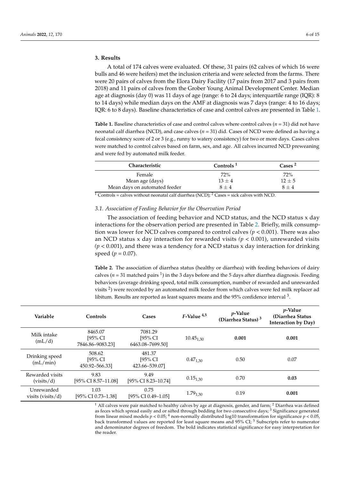# **3. Results**

A total of 174 calves were evaluated. Of these, 31 pairs (62 calves of which 16 were bulls and 46 were heifers) met the inclusion criteria and were selected from the farms. There were 20 pairs of calves from the Elora Dairy Facility (17 pairs from 2017 and 3 pairs from 2018) and 11 pairs of calves from the Grober Young Animal Development Center. Median age at diagnosis (day 0) was 11 days of age (range: 6 to 24 days; interquartile range (IQR): 8 to 14 days) while median days on the AMF at diagnosis was 7 days (range: 4 to 16 days; IQR: 6 to 8 days). Baseline characteristics of case and control calves are presented in Table [1.](#page-7-0)

<span id="page-7-0"></span>**Table 1.** Baseline characteristics of case and control calves where control calves (*n* = 31) did not have neonatal calf diarrhea (NCD), and case calves (*n* = 31) did. Cases of NCD were defined as having a fecal consistency score of 2 or 3 (e.g., runny to watery consistency) for two or more days. Cases calves were matched to control calves based on farm, sex, and age. All calves incurred NCD preweaning and were fed by automated milk feeder.

| <b>Characteristic</b>         | Controls $1$ | $\text{Case} \,$ <sup>2</sup> |
|-------------------------------|--------------|-------------------------------|
| Female                        | $72\%$       | 72%                           |
| Mean age (days)               | $13 \pm 4$   | $12 \pm 5$                    |
| Mean days on automated feeder | $8 + 4$      | $8 + 4$                       |

 $\frac{1}{1}$  Controls = calves without neonatal calf diarrhea (NCD); <sup>2</sup> Cases = sick calves with NCD.

# *3.1. Association of Feeding Behavior for the Observation Period*

The association of feeding behavior and NCD status, and the NCD status x day interactions for the observation period are presented in Table [2.](#page-7-1) Briefly, milk consumption was lower for NCD calves compared to control calves *(p* < 0.001). There was also an NCD status x day interaction for rewarded visits *(p* < 0.001), unrewarded visits *(p* < 0.001), and there was a tendency for a NCD status x day interaction for drinking speed ( $p = 0.07$ ).

<span id="page-7-1"></span>**Table 2.** The association of diarrhea status (healthy or diarrhea) with feeding behaviors of dairy calves ( $n = 31$  matched pairs <sup>1</sup>) in the 3 days before and the 5 days after diarrhea diagnosis. Feeding behaviors (average drinking speed, total milk consumption, number of rewarded and unrewarded visits  $2$ ) were recorded by an automated milk feeder from which calves were fed milk replacer ad libitum. Results are reported as least squares means and the 95% confidence interval  $^3$ .

| Variable                        | Controls                                  | Cases                                  | $F-$ Value $4,5$ | <i>p</i> -Value<br>(Diarrhea Status) $3$ | <i>p</i> -Value<br>(Diarrhea Status<br>Interaction by Day) |
|---------------------------------|-------------------------------------------|----------------------------------------|------------------|------------------------------------------|------------------------------------------------------------|
| Milk intake<br>(mL/d)           | 8465.07<br>$195\%$ CI<br>7846.86-9083.23] | 7081.29<br>[95% CI<br>6463.08-7699.50] | $10.45_{1,30}$   | 0.001                                    | 0.001                                                      |
| Drinking speed<br>(mL/min)      | 508.62<br>$[95%$ CI<br>450.92-566.331     | 481.37<br>[95% CI<br>423.66-539.07]    | $0.47_{1,30}$    | 0.50                                     | 0.07                                                       |
| Rewarded visits<br>(visits/d)   | 9.83<br>[95% CI 8.57-11.08]               | 9.49<br>[95% CI 8.23-10.74]            | $0.15_{1,30}$    | 0.70                                     | 0.03                                                       |
| Unrewarded<br>visits (visits/d) | 1.03<br>[95% CI 0.73–1.38]                | 0.75<br>[95% CI 0.49-1.05]             | $1.79_{1,30}$    | 0.19                                     | 0.001                                                      |

 $1$  All calves were pair matched to healthy calves by age at diagnosis, gender, and farm; <sup>2</sup> Diarrhea was defined as feces which spread easily and or sifted through bedding for two consecutive days; <sup>3</sup> Significance generated from linear mixed models  $p < 0.05$ ; <sup>4</sup> non-normally distributed log10 transformation for significance  $p < 0.05$ , back transformed values are reported for least square means and 95% CI; <sup>5</sup> Subscripts refer to numerator and denominator degrees of freedom. The bold indicates statistical significance for easy interpretation for the reader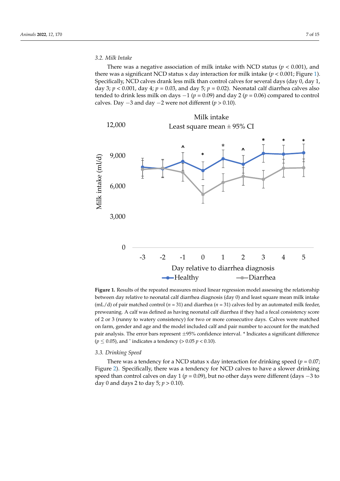There was a negative association of milk intake with NCD status ( $p < 0.001$ ), and there was a significant NCD status x day interaction for milk intake  $(p < 0.001;$  Figure [1\)](#page-8-0). Specifically, NCD calves drank less milk than control calves for several days (day 0, day 1, day 3;  $p < 0.001$ , day 4;  $p = 0.03$ , and day 5;  $p = 0.02$ ). Neonatal calf diarrhea calves also tended to drink less milk on days  $-1$  ( $p = 0.09$ ) and day 2 ( $p = 0.06$ ) compared to control calves. Day −3 and day −2 were not different (*p* > 0.10). Day −3 and day −2 were not different (*p* > 0.10).

<span id="page-8-0"></span>

**Figure 1.** Results of the repeated measures mixed linear regression model assessing the relationship between day relative to neonatal calf diarrhea diagnosis (day 0) and least square mean milk intake between day relative to neonatal calf diarrhea diagnosis (day 0) and least square mean milk intake (mL/d) of pair matched control ( $n = 31$ ) and diarrhea ( $n = 31$ ) calves fed by an automated milk feeder, preweaning. A calf was defined as having neonatal calf diarrhea if they had a fecal consistency score preweaning. A calf was defined as having neonatal calf diarrhea if they had a fecal consistency score of 2 or 3 (runny to watery consistency) for two or more consecutive days. Calves were matched on farm, gender and age and the model included calf and pair number to account for the matched pair analysis. The error bars represent ±95% confidence interval. \* Indicates a significant difference  $(p \le 0.05)$ , and ^ indicates a tendency (> 0.05 *p* < 0.10).

# *3.3. Drinking Speed 3.3. Drinking Speed*

There was a tendency for a NCD status x day interaction for drinking speed ( $p = 0.07$ ; Figure [2\).](#page-9-0) Specifically, there was a tendency for NCD calves to have a slower drinking Figure 2). Specifically, there was a tendency for NCD calves to have a slower drinking speed than control calves on day 1 (*p* = 0.09), but no other days were different (days −3 to day 0 and days 2 to day 5; *p* > 0.10). day 0 and days 2 to day 5; *p* > 0.10).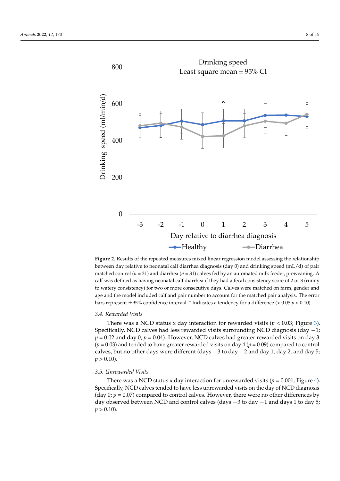<span id="page-9-0"></span>

**Figure 2.** Results of the repeated measures mixed linear regression model assessing the relationship between day relative to neonatal calf diarrhea diagnosis (day 0) and drinking speed (mL/d) of pair between day relative to neonatal calf diarrhea diagnosis (day 0) and drinking speed (mL/d) of pair matched control ( $n = 31$ ) and diarrhea ( $n = 31$ ) calves fed by an automated milk feeder, preweaning. A calf was defined as having neonatal calf diarrhea if they had a fecal consistency score of 2 or 3 (runny to watery consistency) for two or more consecutive days. Calves were matched on farm, gender and age and the model included calf and pair number to account for the matched pair analysis. The error bars represent  $\pm$ 95% confidence interval. ^ Indicates a tendency for a difference (> 0.05  $p$  < 0.10). **Figure 2.** Results of the repeated measures mixed linear regression model assessing the relationship

# 0.05 *p* < 0.10). *3.4. Rewarded Visits*

*3.4. Rewarded Visits*  There was a NCD status x day interaction for rewarded visits (*p* < 0.03; Figure [3\)](#page-10-0).  $p = 0.02$  and day 0;  $p = 0.04$ ). However, NCD calves had greater rewarded visits on day 3 f and day of factorial calculation of the metal less resolution of the material visits on day  $($ *p* = 0.03) and tended to have greater rewarded visits on day 4 (*p* = 0.09) compared to control  $\frac{1}{2}$  and day 0,000 km<sup>2</sup> and day 0,000 km<sup>2</sup> and day  $\frac{1}{2}$  and day  $\frac{1}{2}$  and day  $\frac{1}{2}$ . calves, but no other days were different (days −3 to day −2 and day 1, day 2, and day 5;<br>n > 0.10) calves, but no other days were different (days −3 to day −2 and day 1, day 2, and day 5; *p* Specifically, NCD calves had less rewarded visits surrounding NCD diagnosis (day −1;  $p > 0.10$ ).

# > 0.10). *3.5. Unrewarded Visits*

There was a NCD status x day interaction for unrewarded visits ( $p = 0.001$ ; Figure [4\)](#page-11-0). Specifically, NCD calves tended to have less unrewarded visits on the day of NCD diagnosis (day  $0; p = 0.07$ ) compared to control calves. However, there were no other differences by day observed between NCD and control calves (days −3 to day −1 and days 1 to day 5;  $p > 0.10$ ).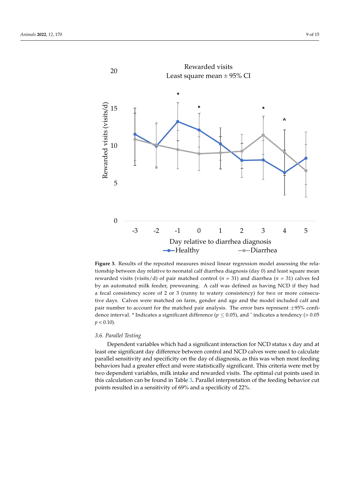<span id="page-10-0"></span>

Figure 3. Results of the repeated measures mixed linear regression model assessing the relationship between day relative to neonatal calf diarrhea diagnosis (day 0) and least square mean rewarded visits (visits/d) of pair matched control ( $n = 31$ ) and diarrhea ( $n = 31$ ) calves fed by an automated milk feeder, preweaning. A calf was defined as having NCD if they had Fan aaromated min reedly prevailing. It can was demiled as mating these in diep mat a fecal consistency score of 2 or 3 (runny to watery consistency) for two or more consecutive days. Calves were matched on farm, gender and age and the model included calf and pair number to account for the matched pair analysis. The error bars represent ±95% confi $p < 0.10$ ). dence interval. \* Indicates a significant difference ( $p \le 0.05$ ), and  $\hat{ }$  indicates a tendency (> 0.05)

#### There was a NCD status x day interaction for unrewarded visits (*p* = 0.001; Figure 4). *3.6. Parallel Testing*

 $S<sub>1</sub>$  calculation to have less unrewarded visits on the day of  $N<sub>2</sub>$  diagram of  $N<sub>2</sub>$ Dependent variables which had a significant interaction for NCD status x day and at least one significant day difference between control and NCD calves were used to calculate parallel sensitivity and specificity on the day of diagnosis, as this was when most feeding behaviors had a greater effect and were statistically significant. This criteria were met by two dependent variables, milk intake and rewarded visits. The optimal cut points used in this calculation can be found in Table [3](#page-11-1)**.** Parallel interpretation of the feeding behavior cut points resulted in a sensitivity of 69% and a specificity of 22%.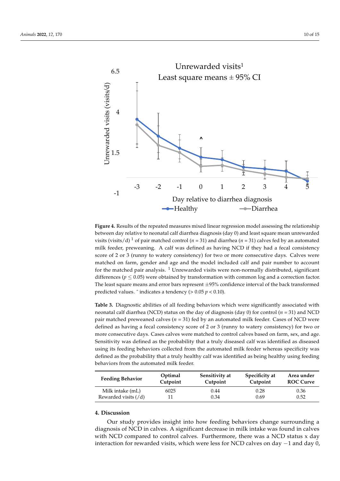<span id="page-11-0"></span>

**Figure 4.** Results of the repeated measures mixed linear regression model assessing the relationship **Figure 4.** Results of the repeated measures mixed linear regression model assessing the relationship between day relative to neonatal calf diarrhea diagnosis (day 0) and least square mean unrewarded between day relative to neonatal calf diarrhea diagnosis (day 0) and least square mean unrewarded visits (visits/d)<sup>1</sup> of pair matched control ( $n = 31$ ) and diarrhea ( $n = 31$ ) calves fed by an automated milk feeder, preweaning. A calf was defined as having NCD if they had a fecal consistency  $2.2 \times 2.3 \times 2.3 \times 2.3 \times 2.3 \times 2.3 \times 2.3 \times 2.3 \times 2.3 \times 2.3 \times 2.3 \times 2.3 \times 2.3 \times 2.3 \times 2.3 \times 2.3 \times 2.3 \times 2.3 \times 2.3 \times 2.3 \times 2.3 \times 2.3 \times 2.3 \times 2.3 \times 2.3 \times 2.3 \times 2.3 \times 2.3 \times 2.3 \times 2.3 \times 2.3 \times 2.3 \times 2.3 \times 2.3 \times 2.3 \times 2.3 \times 2.3 \$ score of 2 or 3 (runny to watery consistency) for two or more consecutive days. Calves were matched on farm, gender and age and the model included calf and pair number to account for the matched pair analysis.  $^1$  Unrewarded visits were non-normally distributed, significant differences ( $p \leq 0.05$ ) were obtained by transformation with common log and a correction factor. predicted values.  $\hat{\ }$  indicates a tendency ( $> 0.05$   $p < 0.10$ ). The least square means and error bars represent ±95% confidence interval of the back transformed

<span id="page-11-1"></span>**Table 3.** Diagnostic abilities of all feeding behaviors which were significantly associated with neonatal calf diarrhea (NCD) status on the day of diagnosis (day 0) for control (*n* = 31) and NCD pair matched preweaned calves (*n* = 31) fed by an automated milk feeder. Cases of NCD were defined as having a fecal consistency score of 2 or 3 (runny to watery consistency) for two or more consecutive days. Cases calves were matched to control calves based on farm, sex, and age. Sensitivity was defined as the probability that a truly diseased calf was identified as diseased defined as the probability that a truly healthy calf was identified as being healthy using feeding behaviors from the automated milk feeder. using its feeding behaviors collected from the automated milk feeder whereas specificity was

| <b>Feeding Behavior</b>          | Optimal<br>Cutpoint | Sensitivity at<br>Cutpoint | Specificity at<br>Cutpoint | Area under<br><b>ROC Curve</b> |
|----------------------------------|---------------------|----------------------------|----------------------------|--------------------------------|
| Milk intake (mL)                 | 6025                | 0.44                       | 0.28                       | 0.36                           |
| Rewarded visits $(\overline{d})$ |                     | 0.34                       | 0.69                       | 0.52                           |

# **4. Discussion**

**Feature Study provides insight into h Sensitivity at**  Ecume. **Specificity at**   $\frac{1013}{100}$ **Area under**  Our study provides insight into how feeding behaviors change surrounding a anghosis of NCD in carves. Fregumeant decrease in think thank was found in carves<br>with NCD compared to control calves. Furthermore, there was a NCD status x day diagnosis of NCD in calves. A significant decrease in milk intake was found in calves interaction for rewarded visits, which were less for NCD calves on day  $-1$  and day 0,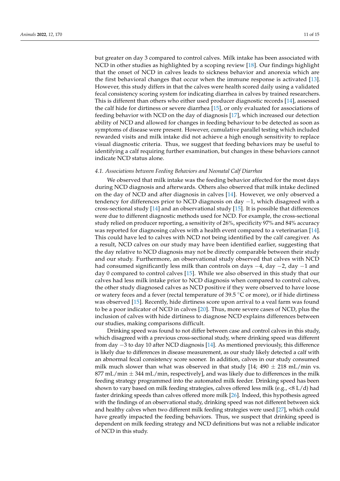but greater on day 3 compared to control calves. Milk intake has been associated with NCD in other studies as highlighted by a scoping review [\[18\]](#page-15-17). Our findings highlight that the onset of NCD in calves leads to sickness behavior and anorexia which are the first behavioral changes that occur when the immune response is activated [\[13\]](#page-15-12). However, this study differs in that the calves were health scored daily using a validated fecal consistency scoring system for indicating diarrhea in calves by trained researchers. This is different than others who either used producer diagnostic records [\[14\]](#page-15-13), assessed the calf hide for dirtiness or severe diarrhea [\[15\]](#page-15-14), or only evaluated for associations of feeding behavior with NCD on the day of diagnosis [\[17\]](#page-15-16), which increased our detection ability of NCD and allowed for changes in feeding behaviour to be detected as soon as symptoms of disease were present. However, cumulative parallel testing which included rewarded visits and milk intake did not achieve a high enough sensitivity to replace visual diagnostic criteria. Thus, we suggest that feeding behaviors may be useful to identifying a calf requiring further examination, but changes in these behaviors cannot indicate NCD status alone.

# *4.1. Associations between Feeding Behaviors and Neonatal Calf Diarrhea*

We observed that milk intake was the feeding behavior affected for the most days during NCD diagnosis and afterwards. Others also observed that milk intake declined on the day of NCD and after diagnosis in calves [\[14\]](#page-15-13). However, we only observed a tendency for differences prior to NCD diagnosis on day  $-1$ , which disagreed with a cross-sectional study [\[14\]](#page-15-13) and an observational study [\[15\]](#page-15-14). It is possible that differences were due to different diagnostic methods used for NCD. For example, the cross-sectional study relied on producer reporting, a sensitivity of 26%, specificity 97% and 84% accuracy was reported for diagnosing calves with a health event compared to a veterinarian [\[14\]](#page-15-13). This could have led to calves with NCD not being identified by the calf caregiver. As a result, NCD calves on our study may have been identified earlier, suggesting that the day relative to NCD diagnosis may not be directly comparable between their study and our study. Furthermore, an observational study observed that calves with NCD had consumed significantly less milk than controls on days −4, day −2, day −1 and day 0 compared to control calves [\[15\]](#page-15-14). While we also observed in this study that our calves had less milk intake prior to NCD diagnosis when compared to control calves, the other study diagnosed calves as NCD positive if they were observed to have loose or watery feces and a fever (rectal temperature of 39.5 ◦C or more), or if hide dirtiness was observed [\[15\]](#page-15-14). Recently, hide dirtiness score upon arrival to a veal farm was found to be a poor indicator of NCD in calves [\[20\]](#page-16-0). Thus, more severe cases of NCD, plus the inclusion of calves with hide dirtiness to diagnose NCD explains differences between our studies, making comparisons difficult.

Drinking speed was found to not differ between case and control calves in this study, which disagreed with a previous cross-sectional study, where drinking speed was different from day −3 to day 10 after NCD diagnosis [\[14\]](#page-15-13). As mentioned previously, this difference is likely due to differences in disease measurement, as our study likely detected a calf with an abnormal fecal consistency score sooner. In addition, calves in our study consumed milk much slower than what was observed in that study [14;  $490 \pm 218$  mL/min vs.  $877$  mL/min  $\pm$  344 mL/min, respectively], and was likely due to differences in the milk feeding strategy programmed into the automated milk feeder. Drinking speed has been shown to vary based on milk feeding strategies, calves offered less milk (e.g., <8 L/d) had faster drinking speeds than calves offered more milk [\[26\]](#page-16-6). Indeed, this hypothesis agreed with the findings of an observational study, drinking speed was not different between sick and healthy calves when two different milk feeding strategies were used [\[27\]](#page-16-7), which could have greatly impacted the feeding behaviors. Thus, we suspect that drinking speed is dependent on milk feeding strategy and NCD definitions but was not a reliable indicator of NCD in this study.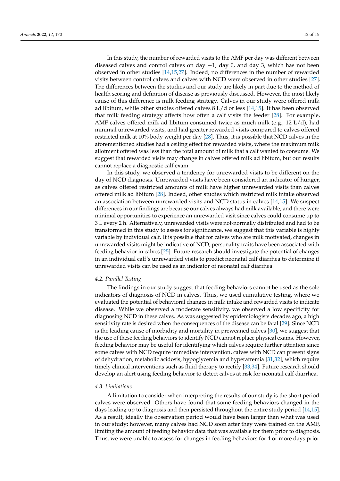In this study, the number of rewarded visits to the AMF per day was different between diseased calves and control calves on day  $-1$ , day 0, and day 3, which has not been observed in other studies [\[14](#page-15-13)[,15,](#page-15-14)[27\]](#page-16-7). Indeed, no differences in the number of rewarded visits between control calves and calves with NCD were observed in other studies [\[27\]](#page-16-7). The differences between the studies and our study are likely in part due to the method of health scoring and definition of disease as previously discussed. However, the most likely cause of this difference is milk feeding strategy. Calves in our study were offered milk ad libitum, while other studies offered calves  $8 L/d$  or less  $[14,15]$  $[14,15]$ . It has been observed that milk feeding strategy affects how often a calf visits the feeder [\[28\]](#page-16-8). For example, AMF calves offered milk ad libitum consumed twice as much milk (e.g., 12 L/d), had minimal unrewarded visits, and had greater rewarded visits compared to calves offered restricted milk at 10% body weight per day [\[28\]](#page-16-8). Thus, it is possible that NCD calves in the aforementioned studies had a ceiling effect for rewarded visits, where the maximum milk allotment offered was less than the total amount of milk that a calf wanted to consume. We suggest that rewarded visits may change in calves offered milk ad libitum, but our results cannot replace a diagnostic calf exam.

In this study, we observed a tendency for unrewarded visits to be different on the day of NCD diagnosis. Unrewarded visits have been considered an indicator of hunger, as calves offered restricted amounts of milk have higher unrewarded visits than calves offered milk ad libitum [\[28\]](#page-16-8). Indeed, other studies which restricted milk intake observed an association between unrewarded visits and NCD status in calves [\[14,](#page-15-13)[15\]](#page-15-14). We suspect differences in our findings are because our calves always had milk available, and there were minimal opportunities to experience an unrewarded visit since calves could consume up to 3 L every 2 h. Alternatively, unrewarded visits were not-normally distributed and had to be transformed in this study to assess for significance, we suggest that this variable is highly variable by individual calf. It is possible that for calves who are milk motivated, changes in unrewarded visits might be indicative of NCD, personality traits have been associated with feeding behavior in calves [\[25\]](#page-16-5). Future research should investigate the potential of changes in an individual calf's unrewarded visits to predict neonatal calf diarrhea to determine if unrewarded visits can be used as an indicator of neonatal calf diarrhea.

# *4.2. Parallel Testing*

The findings in our study suggest that feeding behaviors cannot be used as the sole indicators of diagnosis of NCD in calves. Thus, we used cumulative testing, where we evaluated the potential of behavioral changes in milk intake and rewarded visits to indicate disease. While we observed a moderate sensitivity, we observed a low specificity for diagnosing NCD in these calves. As was suggested by epidemiologists decades ago, a high sensitivity rate is desired when the consequences of the disease can be fatal [\[29\]](#page-16-9). Since NCD is the leading cause of morbidity and mortality in preweaned calves [\[30\]](#page-16-10), we suggest that the use of these feeding behaviors to identify NCD cannot replace physical exams. However, feeding behavior may be useful for identifying which calves require further attention since some calves with NCD require immediate intervention, calves with NCD can present signs of dehydration, metabolic acidosis, hypoglycemia and hyperatremia [\[31,](#page-16-11)[32\]](#page-16-12), which require timely clinical interventions such as fluid therapy to rectify [\[33,](#page-16-13)[34\]](#page-16-14). Future research should develop an alert using feeding behavior to detect calves at risk for neonatal calf diarrhea.

# *4.3. Limitations*

A limitation to consider when interpreting the results of our study is the short period calves were observed. Others have found that some feeding behaviors changed in the days leading up to diagnosis and then persisted throughout the entire study period [\[14](#page-15-13)[,15\]](#page-15-14). As a result, ideally the observation period would have been larger than what was used in our study; however, many calves had NCD soon after they were trained on the AMF, limiting the amount of feeding behavior data that was available for them prior to diagnosis. Thus, we were unable to assess for changes in feeding behaviors for 4 or more days prior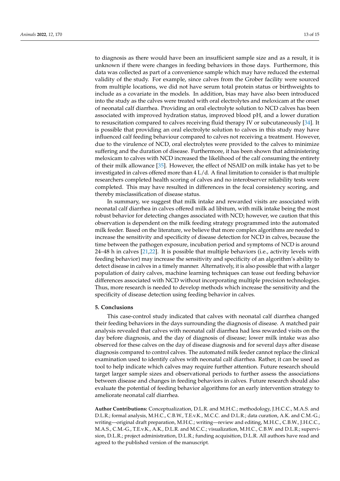to diagnosis as there would have been an insufficient sample size and as a result, it is unknown if there were changes in feeding behaviors in those days. Furthermore, this data was collected as part of a convenience sample which may have reduced the external validity of the study. For example, since calves from the Grober facility were sourced from multiple locations, we did not have serum total protein status or birthweights to include as a covariate in the models. In addition, bias may have also been introduced into the study as the calves were treated with oral electrolytes and meloxicam at the onset of neonatal calf diarrhea. Providing an oral electrolyte solution to NCD calves has been associated with improved hydration status, improved blood pH, and a lower duration to resuscitation compared to calves receiving fluid therapy IV or subcutaneously [\[34\]](#page-16-14). It is possible that providing an oral electrolyte solution to calves in this study may have influenced calf feeding behaviour compared to calves not receiving a treatment. However, due to the virulence of NCD, oral electrolytes were provided to the calves to minimize suffering and the duration of disease. Furthermore, it has been shown that administering meloxicam to calves with NCD increased the likelihood of the calf consuming the entirety of their milk allowance [\[35\]](#page-16-15). However, the effect of NSAID on milk intake has yet to be investigated in calves offered more than  $4 \frac{L}{d}$ . A final limitation to consider is that multiple researchers completed health scoring of calves and no interobserver reliability tests were completed. This may have resulted in differences in the fecal consistency scoring, and thereby misclassification of disease status.

In summary, we suggest that milk intake and rewarded visits are associated with neonatal calf diarrhea in calves offered milk ad libitum, with milk intake being the most robust behavior for detecting changes associated with NCD; however, we caution that this observation is dependent on the milk feeding strategy programmed into the automated milk feeder. Based on the literature, we believe that more complex algorithms are needed to increase the sensitivity and specificity of disease detection for NCD in calves, because the time between the pathogen exposure, incubation period and symptoms of NCD is around 24–48 h in calves [\[21](#page-16-1)[,22\]](#page-16-2). It is possible that multiple behaviors (i.e., activity levels with feeding behavior) may increase the sensitivity and specificity of an algorithm's ability to detect disease in calves in a timely manner. Alternatively, it is also possible that with a larger population of dairy calves, machine learning techniques can tease out feeding behavior differences associated with NCD without incorporating multiple precision technologies. Thus, more research is needed to develop methods which increase the sensitivity and the specificity of disease detection using feeding behavior in calves.

## **5. Conclusions**

This case-control study indicated that calves with neonatal calf diarrhea changed their feeding behaviors in the days surrounding the diagnosis of disease. A matched pair analysis revealed that calves with neonatal calf diarrhea had less rewarded visits on the day before diagnosis, and the day of diagnosis of disease; lower milk intake was also observed for these calves on the day of disease diagnosis and for several days after disease diagnosis compared to control calves. The automated milk feeder cannot replace the clinical examination used to identify calves with neonatal calf diarrhea. Rather, it can be used as tool to help indicate which calves may require further attention. Future research should target larger sample sizes and observational periods to further assess the associations between disease and changes in feeding behaviors in calves. Future research should also evaluate the potential of feeding behavior algorithms for an early intervention strategy to ameliorate neonatal calf diarrhea.

**Author Contributions:** Conceptualization, D.L.R. and M.H.C.; methodology, J.H.C.C., M.A.S. and D.L.R.; formal analysis, M.H.C., C.B.W., T.E.v.K., M.C.C. and D.L.R.; data curation, A.K. and C.M.-G.; writing—original draft preparation, M.H.C.; writing—review and editing, M.H.C., C.B.W., J.H.C.C., M.A.S., C.M.-G., T.E.v.K., A.K., D.L.R. and M.C.C.; visualization, M.H.C., C.B.W. and D.L.R.; supervision, D.L.R.; project administration, D.L.R.; funding acquisition, D.L.R. All authors have read and agreed to the published version of the manuscript.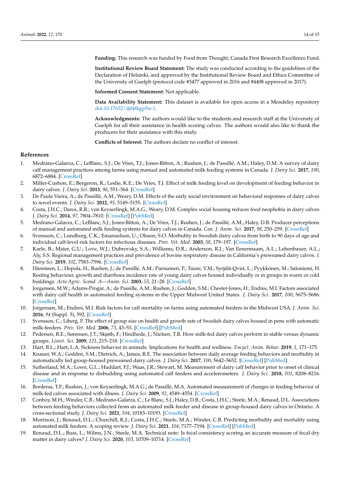**Funding:** This research was funded by Food from Thought, Canada First Research Excellence Fund.

**Institutional Review Board Statement:** The study was conducted according to the guidelines of the Declaration of Helsinki, and approved by the Institutional Review Board and Ethics Committee of the University of Guelph (protocol code #3477 approved in 2016 and #4408 approved in 2017).

**Informed Consent Statement:** Not applicable.

**Data Availability Statement:** This dataset is available for open access in a Mendeley repository [doi:10.17632/djf4fkgp5w.1.](doi:10.17632/djf4fkgp5w.1)

**Acknowledgments:** The authors would like to the students and research staff at the University of Guelph for all their assistance in health scoring calves. The authors would also like to thank the producers for their assistance with this study.

**Conflicts of Interest:** The authors declare no conflict of interest.

# **References**

- <span id="page-15-0"></span>1. Medrano-Galarza, C.; LeBlanc, S.J.; De Vries, T.J.; Jones-Bitton, A.; Rushen, J.; de Passillé, A.M.; Haley, D.M. A survey of dairy calf management practices among farms using manual and automated milk feeding systems in Canada. *J. Dairy Sci.* **2017**, *100*, 6872–6884. [\[CrossRef\]](http://doi.org/10.3168/jds.2016-12273)
- <span id="page-15-1"></span>2. Miller-Cushon, E.; Bergeron, R.; Leslie, K.E.; De Vries, T.J. Effect of milk feeding level on development of feeding behavior in dairy calves. *J. Dairy Sci.* **2013**, *96*, 551–564. [\[CrossRef\]](http://doi.org/10.3168/jds.2012-5937)
- <span id="page-15-2"></span>3. De Paula Vieira, A.; de Passillé, A.M.; Weary, D.M. Effects of the early social environment on behavioral responses of dairy calves to novel events. *J. Dairy Sci.* **2012**, *95*, 5149–5155. [\[CrossRef\]](http://doi.org/10.3168/jds.2011-5073)
- <span id="page-15-3"></span>4. Costa, J.H.C.; Daros, R.R.; von Keyserlingk, M.A.G.; Weary, D.M. Complex social housing reduces food neophobia in dairy calves. *J. Dairy Sci.* **2014**, *97*, 7804–7810. [\[CrossRef\]](http://doi.org/10.3168/jds.2014-8392) [\[PubMed\]](http://www.ncbi.nlm.nih.gov/pubmed/25306284)
- <span id="page-15-4"></span>5. Medrano-Galarza, C.; LeBlanc, S.J.; Jones-Bitton, A.; De Vries, T.J.; Rushen, J.; de Passillé, A.M.; Haley, D.B. Producer perceptions of manual and automated milk feeding systems for dairy calves in Canada. *Can. J. Anim. Sci.* **2017**, *98*, 250–259. [\[CrossRef\]](http://doi.org/10.1139/cjas-2017-0038)
- <span id="page-15-5"></span>6. Svensson, C.; Lundborg, C.K.; Emanuelson, U.; Olsson, S.O. Morbidity in Swedish dairy calves from birth to 90 days of age and individual calf-level risk factors for infectious diseases. *Prev. Vet. Med.* **2003**, *58*, 179–197. [\[CrossRef\]](http://doi.org/10.1016/S0167-5877(03)00046-1)
- <span id="page-15-6"></span>7. Karle, B.; Maier, G.U.; Love, W.J.; Dubrovsky, S.A.; Williams, D.R.; Anderson, R.J.; Van Eenennaam, A.L.; Lehenbauer, A.L.; Aly, S.S. Regional management practices and prevalence of bovine respiratory disease in California's preweaned dairy calves. *J. Dairy Sci.* **2019**, *102*, 7583–7596. [\[CrossRef\]](http://doi.org/10.3168/jds.2018-14775)
- <span id="page-15-7"></span>8. Hänninen, L.; Hepola, H.; Rushen, J.; de Passillé, A.M.; Pursiainen, P.; Tuure, V.M.; Syrjälä-Qvist, L.; Pyykkönen, M.; Saloniemi, H. Resting behaviour, growth and diarrhoea incidence rate of young dairy calves housed individually or in groups in warm or cold buildings. *Acta Agric. Scand. A—Anim. Sci.* **2003**, *53*, 21–28. [\[CrossRef\]](http://doi.org/10.1080/09064700310002008)
- <span id="page-15-8"></span>9. Jorgensen, M.W.; Adams-Progar, A.; de Passille, A.M.; Rushen, J.; Godden, S.M.; Chester-Jones, H.; Endres, M.I. Factors associated with dairy calf health in automated feeding systems in the Upper Midwest United States. *J. Dairy Sci.* **2017**, *100*, 5675–5686. [\[CrossRef\]](http://doi.org/10.3168/jds.2016-12501)
- <span id="page-15-9"></span>10. Jorgensen, M.; Endres, M.I. Risk factors for calf mortality on farms using automated feeders in the Midwest USA. *J. Anim. Sci.* **2016**, *94* (Suppl. 5), 592. [\[CrossRef\]](http://doi.org/10.2527/jam2016-1231)
- <span id="page-15-10"></span>11. Svensson, C.; Liberg, P. The effect of group size on health and growth rate of Swedish dairy calves housed in pens with automatic milk-feeders. *Prev. Vet. Med.* **2006**, *73*, 43–53. [\[CrossRef\]](http://doi.org/10.1016/j.prevetmed.2005.08.021) [\[PubMed\]](http://www.ncbi.nlm.nih.gov/pubmed/16191449)
- <span id="page-15-11"></span>12. Pedersen, R.E.; Sørensen, J.T.; Skjøth, F.; Hindhede, J.; Nielsen, T.R. How milk-fed dairy calves perform in stable versus dynamic groups. *Livest. Sci.* **2009**, *121*, 215–218. [\[CrossRef\]](http://doi.org/10.1016/j.livsci.2008.06.007)
- <span id="page-15-12"></span>13. Hart, B.L.; Hart, L.A. Sickness behavior in animals: Implications for health and wellness. *Encycl. Anim. Behav.* **2019**, *1*, 171–175.
- <span id="page-15-13"></span>14. Knauer, W.A.; Godden, S.M.; Dietrich, A.; James, R.E. The association between daily average feeding behaviors and morbidity in automatically fed group-housed preweaned dairy calves. *J. Dairy Sci.* **2017**, *100*, 5642–5652. [\[CrossRef\]](http://doi.org/10.3168/jds.2016-12372) [\[PubMed\]](http://www.ncbi.nlm.nih.gov/pubmed/28478006)
- <span id="page-15-14"></span>15. Sutherland, M.A.; Lowe, G.L.; Huddart, F.J.; Waas, J.R.; Stewart, M. Measurement of dairy calf behavior prior to onset of clinical disease and in response to disbudding using automated calf feeders and accelerometers. *J. Dairy Sci.* **2018**, *101*, 8208–8216. [\[CrossRef\]](http://doi.org/10.3168/jds.2017-14207)
- <span id="page-15-15"></span>16. Borderas, T.F.; Rushen, J.; von Keyserlingk, M.A.G.; de Passillé, M.A. Automated measurement of changes in feeding behavior of milk-fed calves associated with illness. *J. Dairy Sci.* **2009**, *92*, 4549–4554. [\[CrossRef\]](http://doi.org/10.3168/jds.2009-2109)
- <span id="page-15-16"></span>17. Conboy, M.H.; Winder, C.B.; Medrano-Galarza, C.; Le Blanc, S.J.; Haley, D.B.; Costa, J.H.C.; Steele, M.A.; Renaud, D.L. Associations between feeding behaviors collected from an automated milk feeder and disease in group-housed dairy calves in Ontario: A cross-sectional study. *J. Dairy Sci.* **2021**, *104*, 10183–10193. [\[CrossRef\]](http://doi.org/10.3168/jds.2021-20137)
- <span id="page-15-17"></span>18. Morrison, J.; Renaud, D.L.; Churchill, K.J.; Costa, J.H.C.; Steele, M.A.; Winder, C.B. Predicting morbidity and mortality using automated milk feeders: A scoping review. *J. Dairy Sci.* **2021**, *104*, 7177–7194. [\[CrossRef\]](http://doi.org/10.3168/jds.2020-19645) [\[PubMed\]](http://www.ncbi.nlm.nih.gov/pubmed/33741152)
- <span id="page-15-18"></span>19. Renaud, D.L.; Buss, L.; Wilms, J.N.; Steele, M.A. Technical note: Is fecal consistency scoring an accurate measure of fecal dry matter in dairy calves? *J. Dairy Sci.* **2020**, *103*, 10709–10714. [\[CrossRef\]](http://doi.org/10.3168/jds.2020-18907)